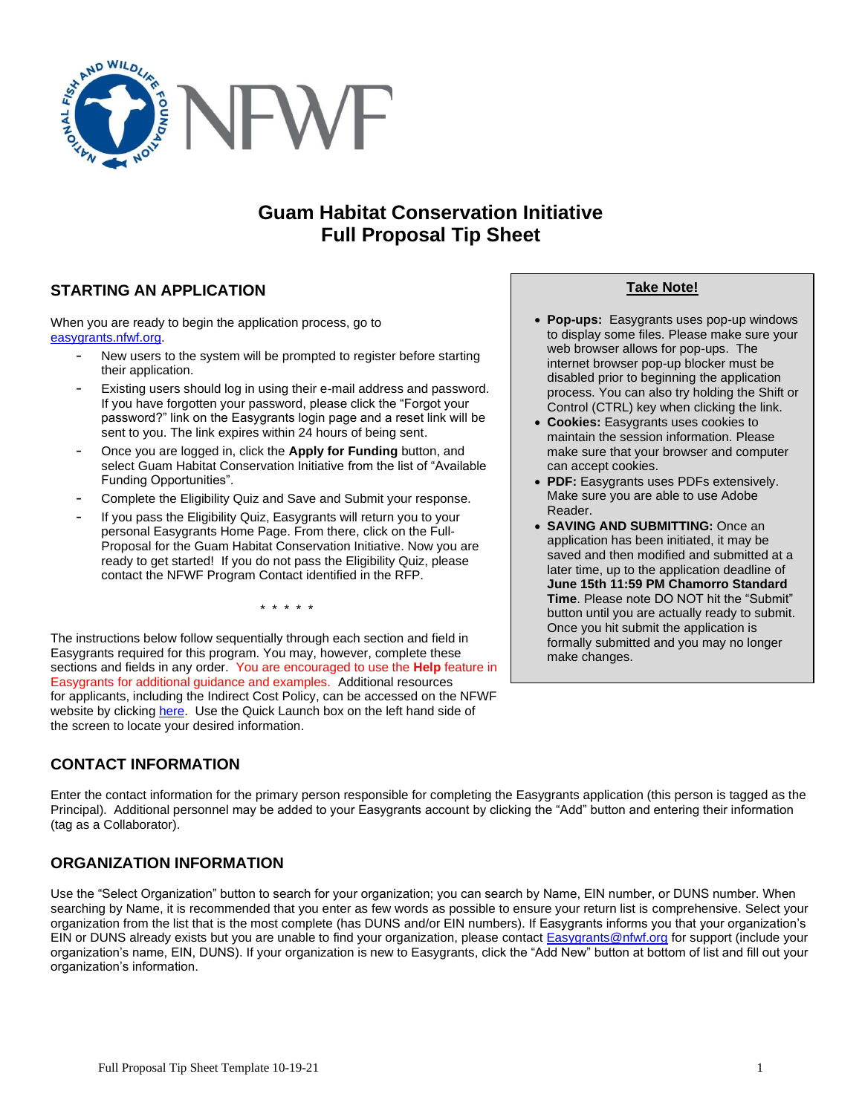

# **Guam Habitat Conservation Initiative Full Proposal Tip Sheet**

## **STARTING AN APPLICATION**

When you are ready to begin the application process, go to [easygrants.nfwf.org.](https://easygrants.nfwf.org/)

- New users to the system will be prompted to register before starting their application.
- Existing users should log in using their e-mail address and password. If you have forgotten your password, please click the "Forgot your password?" link on the Easygrants login page and a reset link will be sent to you. The link expires within 24 hours of being sent.
- Once you are logged in, click the **Apply for Funding** button, and select Guam Habitat Conservation Initiative from the list of "Available Funding Opportunities".
- Complete the Eligibility Quiz and Save and Submit your response.
- If you pass the Eligibility Quiz, Easygrants will return you to your personal Easygrants Home Page. From there, click on the Full-Proposal for the Guam Habitat Conservation Initiative. Now you are ready to get started! If you do not pass the Eligibility Quiz, please contact the NFWF Program Contact identified in the RFP.

\* \* \* \* \*

The instructions below follow sequentially through each section and field in Easygrants required for this program. You may, however, complete these sections and fields in any order. You are encouraged to use the **Help** feature in Easygrants for additional guidance and examples. Additional resources for applicants, including the Indirect Cost Policy, can be accessed on the NFWF website by clicking [here.](http://www.nfwf.org/whatwedo/grants/applicants/Pages/home.aspx) Use the Quick Launch box on the left hand side of the screen to locate your desired information.

## **CONTACT INFORMATION**

Enter the contact information for the primary person responsible for completing the Easygrants application (this person is tagged as the Principal). Additional personnel may be added to your Easygrants account by clicking the "Add" button and entering their information (tag as a Collaborator).

## **ORGANIZATION INFORMATION**

Use the "Select Organization" button to search for your organization; you can search by Name, EIN number, or DUNS number. When searching by Name, it is recommended that you enter as few words as possible to ensure your return list is comprehensive. Select your organization from the list that is the most complete (has DUNS and/or EIN numbers). If Easygrants informs you that your organization's EIN or DUNS already exists but you are unable to find your organization, please contact [Easygrants@nfwf.org](mailto:Easygrants@nfwf.org) for support (include your organization's name, EIN, DUNS). If your organization is new to Easygrants, click the "Add New" button at bottom of list and fill out your organization's information.

#### **Take Note!**

- **Pop-ups:** Easygrants uses pop-up windows to display some files. Please make sure your web browser allows for pop-ups. The internet browser pop-up blocker must be disabled prior to beginning the application process. You can also try holding the Shift or Control (CTRL) key when clicking the link.
- **Cookies:** Easygrants uses cookies to maintain the session information. Please make sure that your browser and computer can accept cookies.
- **PDF:** Easygrants uses PDFs extensively. Make sure you are able to use Adobe Reader.
- **SAVING AND SUBMITTING:** Once an application has been initiated, it may be saved and then modified and submitted at a later time, up to the application deadline of **June 15th 11:59 PM Chamorro Standard Time**. Please note DO NOT hit the "Submit" button until you are actually ready to submit. Once you hit submit the application is formally submitted and you may no longer make changes.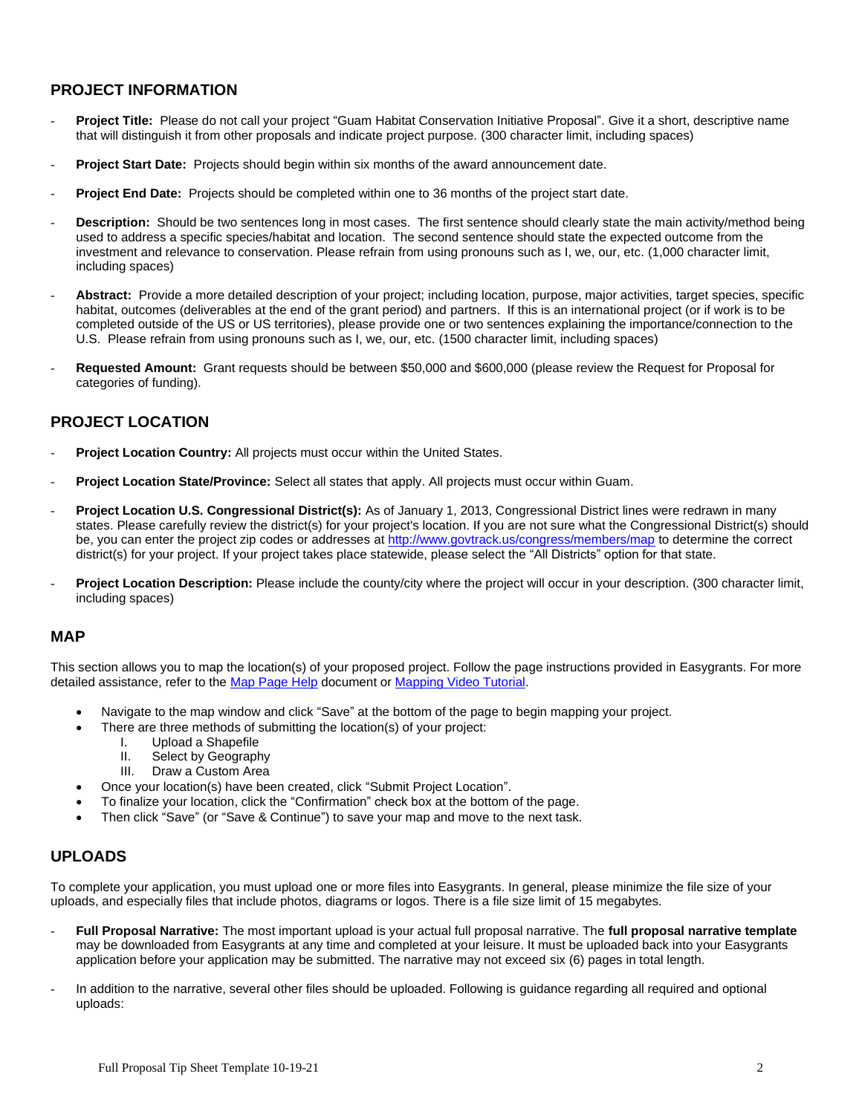### **PROJECT INFORMATION**

- **Project Title:** Please do not call your project "Guam Habitat Conservation Initiative Proposal". Give it a short, descriptive name that will distinguish it from other proposals and indicate project purpose. (300 character limit, including spaces)
- Project Start Date: Projects should begin within six months of the award announcement date.
- **Project End Date:** Projects should be completed within one to 36 months of the project start date.
- **Description:** Should be two sentences long in most cases. The first sentence should clearly state the main activity/method being used to address a specific species/habitat and location. The second sentence should state the expected outcome from the investment and relevance to conservation. Please refrain from using pronouns such as I, we, our, etc. (1,000 character limit, including spaces)
- Abstract: Provide a more detailed description of your project; including location, purpose, major activities, target species, specific habitat, outcomes (deliverables at the end of the grant period) and partners. If this is an international project (or if work is to be completed outside of the US or US territories), please provide one or two sentences explaining the importance/connection to the U.S.Please refrain from using pronouns such as I, we, our, etc. (1500 character limit, including spaces)
- **Requested Amount:** Grant requests should be between \$50,000 and \$600,000 (please review the Request for Proposal for categories of funding).

### **PROJECT LOCATION**

- Project Location Country: All projects must occur within the United States.
- **Project Location State/Province:** Select all states that apply. All projects must occur within Guam.
- Project Location U.S. Congressional District(s): As of January 1, 2013, Congressional District lines were redrawn in many states. Please carefully review the district(s) for your project's location. If you are not sure what the Congressional District(s) should be, you can enter the project zip codes or addresses [at](http://www.govtrack.us/congress/members/map) <http://www.govtrack.us/congress/members/map> to determine the correct district(s) for your project. If your project takes place statewide, please select the "All Districts" option for that state.
- Project Location Description: Please include the county/city where the project will occur in your description. (300 character limit, including spaces)

#### **MAP**

This section allows you to map the location(s) of your proposed project. Follow the page instructions provided in Easygrants. For more detailed assistance, refer to the [Map Page Help](http://www.nfwf.org/whatwedo/grants/Documents/HelpFile.Proposal.Map.pdf) document o[r Mapping Video Tutorial.](http://www.nfwf.org/whatwedo/grants/applicants/Pages/mapping-tool.aspx#.VfH2mpd1b70)

- Navigate to the map window and click "Save" at the bottom of the page to begin mapping your project.
- There are three methods of submitting the location(s) of your project:
	- I. Upload a Shapefile
	- II. Select by Geography
	- III. Draw a Custom Area
- Once your location(s) have been created, click "Submit Project Location".
- To finalize your location, click the "Confirmation" check box at the bottom of the page.
- Then click "Save" (or "Save & Continue") to save your map and move to the next task.

### **UPLOADS**

To complete your application, you must upload one or more files into Easygrants. In general, please minimize the file size of your uploads, and especially files that include photos, diagrams or logos. There is a file size limit of 15 megabytes.

- **Full Proposal Narrative:** The most important upload is your actual full proposal narrative. The **full proposal narrative template** may be downloaded from Easygrants at any time and completed at your leisure. It must be uploaded back into your Easygrants application before your application may be submitted. The narrative may not exceed six (6) pages in total length.
- In addition to the narrative, several other files should be uploaded. Following is guidance regarding all required and optional uploads: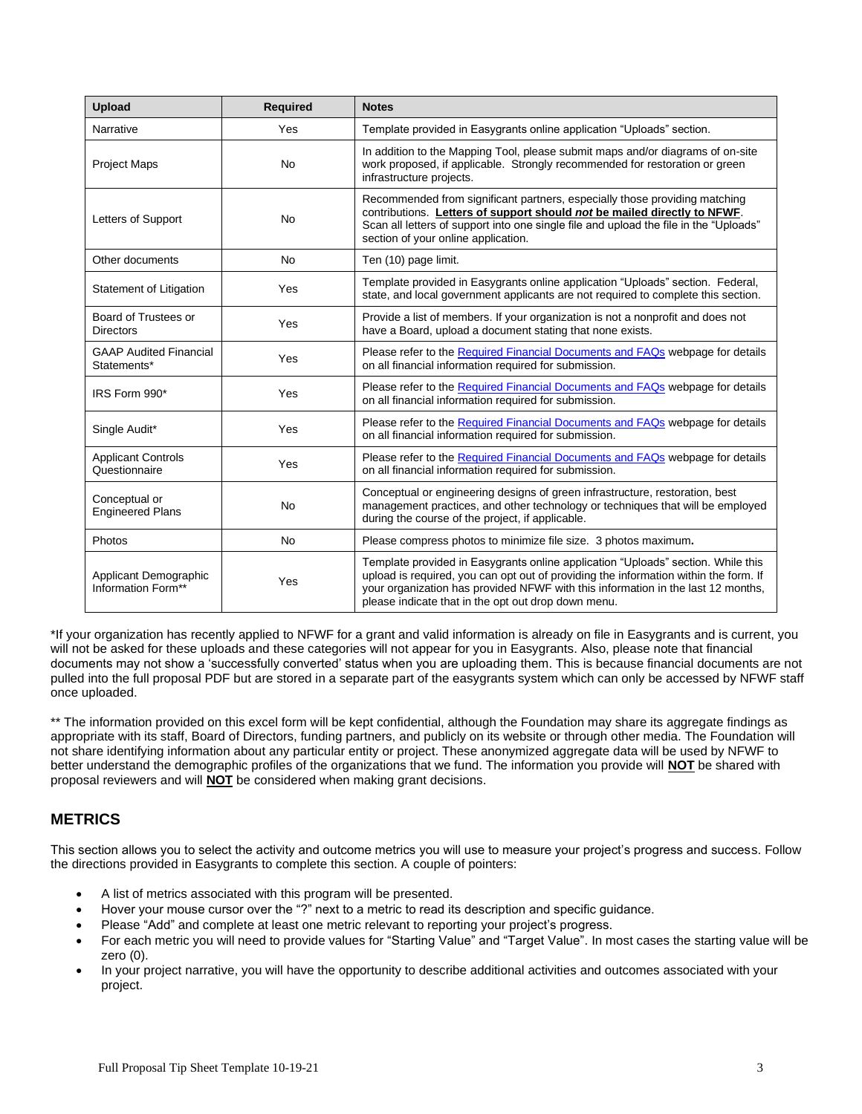| <b>Upload</b>                                | <b>Required</b> | <b>Notes</b>                                                                                                                                                                                                                                                                                                        |
|----------------------------------------------|-----------------|---------------------------------------------------------------------------------------------------------------------------------------------------------------------------------------------------------------------------------------------------------------------------------------------------------------------|
| Narrative                                    | Yes             | Template provided in Easygrants online application "Uploads" section.                                                                                                                                                                                                                                               |
| <b>Project Maps</b>                          | <b>No</b>       | In addition to the Mapping Tool, please submit maps and/or diagrams of on-site<br>work proposed, if applicable. Strongly recommended for restoration or green<br>infrastructure projects.                                                                                                                           |
| Letters of Support                           | <b>No</b>       | Recommended from significant partners, especially those providing matching<br>contributions. Letters of support should not be mailed directly to NFWF.<br>Scan all letters of support into one single file and upload the file in the "Uploads"<br>section of your online application.                              |
| Other documents                              | <b>No</b>       | Ten (10) page limit.                                                                                                                                                                                                                                                                                                |
| Statement of Litigation                      | Yes             | Template provided in Easygrants online application "Uploads" section. Federal,<br>state, and local government applicants are not required to complete this section.                                                                                                                                                 |
| Board of Trustees or<br><b>Directors</b>     | Yes             | Provide a list of members. If your organization is not a nonprofit and does not<br>have a Board, upload a document stating that none exists.                                                                                                                                                                        |
| <b>GAAP Audited Financial</b><br>Statements* | Yes             | Please refer to the Required Financial Documents and FAQs webpage for details<br>on all financial information required for submission.                                                                                                                                                                              |
| IRS Form 990*                                | Yes             | Please refer to the Required Financial Documents and FAQs webpage for details<br>on all financial information required for submission.                                                                                                                                                                              |
| Single Audit*                                | Yes             | Please refer to the Required Financial Documents and FAQs webpage for details<br>on all financial information required for submission.                                                                                                                                                                              |
| <b>Applicant Controls</b><br>Questionnaire   | Yes             | Please refer to the Required Financial Documents and FAQs webpage for details<br>on all financial information required for submission.                                                                                                                                                                              |
| Conceptual or<br><b>Engineered Plans</b>     | <b>No</b>       | Conceptual or engineering designs of green infrastructure, restoration, best<br>management practices, and other technology or techniques that will be employed<br>during the course of the project, if applicable.                                                                                                  |
| Photos                                       | <b>No</b>       | Please compress photos to minimize file size. 3 photos maximum.                                                                                                                                                                                                                                                     |
| Applicant Demographic<br>Information Form**  | Yes             | Template provided in Easygrants online application "Uploads" section. While this<br>upload is required, you can opt out of providing the information within the form. If<br>your organization has provided NFWF with this information in the last 12 months,<br>please indicate that in the opt out drop down menu. |

\*If your organization has recently applied to NFWF for a grant and valid information is already on file in Easygrants and is current, you will not be asked for these uploads and these categories will not appear for you in Easygrants. Also, please note that financial documents may not show a 'successfully converted' status when you are uploading them. This is because financial documents are not pulled into the full proposal PDF but are stored in a separate part of the easygrants system which can only be accessed by NFWF staff once uploaded.

\*\* The information provided on this excel form will be kept confidential, although the Foundation may share its aggregate findings as appropriate with its staff, Board of Directors, funding partners, and publicly on its website or through other media. The Foundation will not share identifying information about any particular entity or project. These anonymized aggregate data will be used by NFWF to better understand the demographic profiles of the organizations that we fund. The information you provide will **NOT** be shared with proposal reviewers and will **NOT** be considered when making grant decisions.

## **METRICS**

This section allows you to select the activity and outcome metrics you will use to measure your project's progress and success. Follow the directions provided in Easygrants to complete this section. A couple of pointers:

- A list of metrics associated with this program will be presented.
- Hover your mouse cursor over the "?" next to a metric to read its description and specific guidance.
- Please "Add" and complete at least one metric relevant to reporting your project's progress.
- For each metric you will need to provide values for "Starting Value" and "Target Value". In most cases the starting value will be zero (0).
- In your project narrative, you will have the opportunity to describe additional activities and outcomes associated with your project.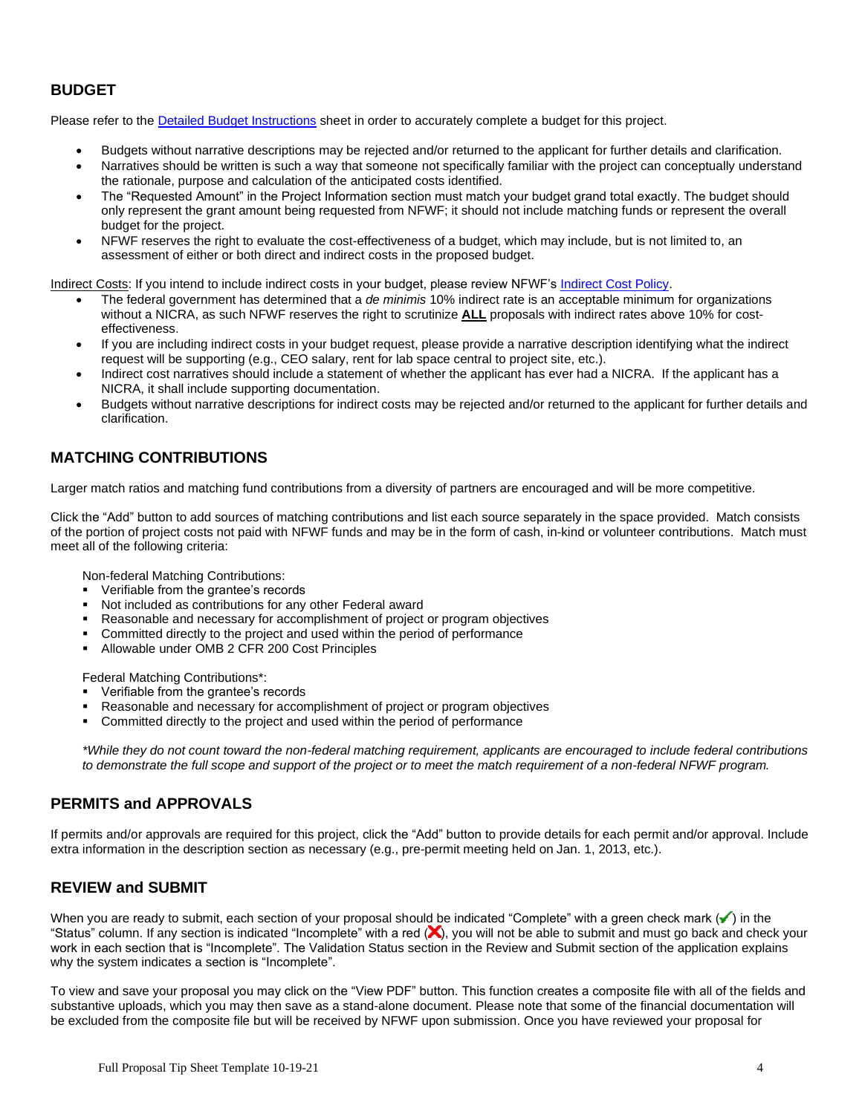## **BUDGET**

Please refer to the [Detailed Budget Instructions](http://www.nfwf.org/whatwedo/grants/applicants/Pages/budget-instructions.aspx) sheet in order to accurately complete a budget for this project.

- Budgets without narrative descriptions may be rejected and/or returned to the applicant for further details and clarification.
- Narratives should be written is such a way that someone not specifically familiar with the project can conceptually understand the rationale, purpose and calculation of the anticipated costs identified.
- The "Requested Amount" in the Project Information section must match your budget grand total exactly. The budget should only represent the grant amount being requested from NFWF; it should not include matching funds or represent the overall budget for the project.
- NFWF reserves the right to evaluate the cost-effectiveness of a budget, which may include, but is not limited to, an assessment of either or both direct and indirect costs in the proposed budget.

Indirect Costs: If you intend to include indirect costs in your budget, please review NFWF's [Indirect Cost Policy.](http://www.nfwf.org/whatwedo/grants/applicants/Pages/indirect-policy.aspx)

- The federal government has determined that a *de minimis* 10% indirect rate is an acceptable minimum for organizations without a NICRA, as such NFWF reserves the right to scrutinize **ALL** proposals with indirect rates above 10% for costeffectiveness.
- If you are including indirect costs in your budget request, please provide a narrative description identifying what the indirect request will be supporting (e.g., CEO salary, rent for lab space central to project site, etc.).
- Indirect cost narratives should include a statement of whether the applicant has ever had a NICRA. If the applicant has a NICRA, it shall include supporting documentation.
- Budgets without narrative descriptions for indirect costs may be rejected and/or returned to the applicant for further details and clarification.

## **MATCHING CONTRIBUTIONS**

Larger match ratios and matching fund contributions from a diversity of partners are encouraged and will be more competitive.

Click the "Add" button to add sources of matching contributions and list each source separately in the space provided. Match consists of the portion of project costs not paid with NFWF funds and may be in the form of cash, in-kind or volunteer contributions. Match must meet all of the following criteria:

Non-federal Matching Contributions:

- Verifiable from the grantee's records
- Not included as contributions for any other Federal award
- Reasonable and necessary for accomplishment of project or program objectives
- Committed directly to the project and used within the period of performance
- Allowable under OMB 2 CFR 200 Cost Principles

Federal Matching Contributions\*:

- Verifiable from the grantee's records
- Reasonable and necessary for accomplishment of project or program objectives
- Committed directly to the project and used within the period of performance

*\*While they do not count toward the non-federal matching requirement, applicants are encouraged to include federal contributions to demonstrate the full scope and support of the project or to meet the match requirement of a non-federal NFWF program.*

### **PERMITS and APPROVALS**

If permits and/or approvals are required for this project, click the "Add" button to provide details for each permit and/or approval. Include extra information in the description section as necessary (e.g., pre-permit meeting held on Jan. 1, 2013, etc.).

### **REVIEW and SUBMIT**

When you are ready to submit, each section of your proposal should be indicated "Complete" with a green check mark  $($ ) in the "Status" column. If any section is indicated "Incomplete" with a red  $(x)$ , you will not be able to submit and must go back and check your work in each section that is "Incomplete". The Validation Status section in the Review and Submit section of the application explains why the system indicates a section is "Incomplete".

To view and save your proposal you may click on the "View PDF" button. This function creates a composite file with all of the fields and substantive uploads, which you may then save as a stand-alone document. Please note that some of the financial documentation will be excluded from the composite file but will be received by NFWF upon submission. Once you have reviewed your proposal for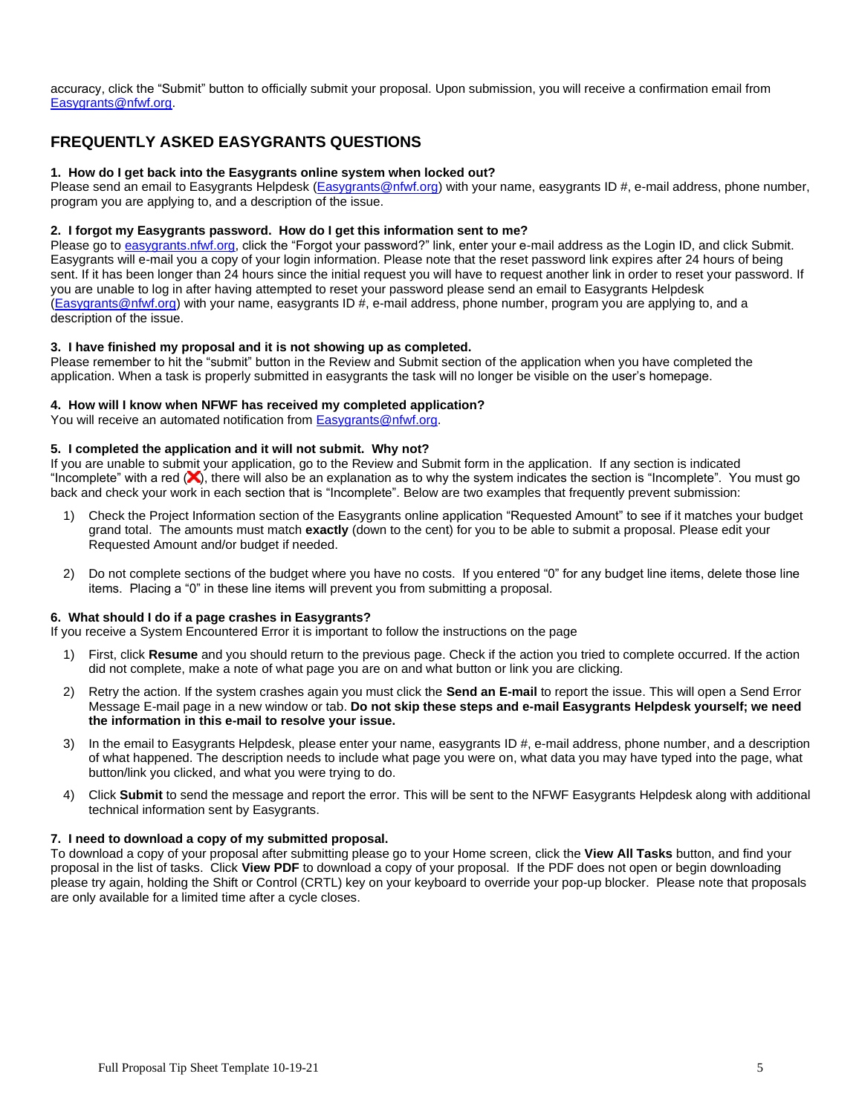accuracy, click the "Submit" button to officially submit your proposal. Upon submission, you will receive a confirmation email from [Easygrants@nfwf.org.](mailto:Easygrants@nfwf.org)

## **FREQUENTLY ASKED EASYGRANTS QUESTIONS**

#### **1. How do I get back into the Easygrants online system when locked out?**

Please send an email to Easygrants Helpdesk [\(Easygrants@nfwf.org\)](mailto:Easygrants@nfwf.org) with your name, easygrants ID #, e-mail address, phone number, program you are applying to, and a description of the issue.

#### **2. I forgot my Easygrants password. How do I get this information sent to me?**

Please go t[o easygrants.nfwf.org,](https://easygrants.nfwf.org/) click the "Forgot your password?" link, enter your e-mail address as the Login ID, and click Submit. Easygrants will e-mail you a copy of your login information. Please note that the reset password link expires after 24 hours of being sent. If it has been longer than 24 hours since the initial request you will have to request another link in order to reset your password. If you are unable to log in after having attempted to reset your password please send an email to Easygrants Helpdesk [\(Easygrants@nfwf.org\)](mailto:Easygrants@nfwf.org) with your name, easygrants ID #, e-mail address, phone number, program you are applying to, and a description of the issue.

#### **3. I have finished my proposal and it is not showing up as completed.**

Please remember to hit the "submit" button in the Review and Submit section of the application when you have completed the application. When a task is properly submitted in easygrants the task will no longer be visible on the user's homepage.

#### **4. How will I know when NFWF has received my completed application?**

You will receive an automated notification from **Easygrants@nfwf.org**.

### **5. I completed the application and it will not submit. Why not?**

If you are unable to submit your application, go to the Review and Submit form in the application.If any section is indicated "Incomplete" with a red  $(x)$ , there will also be an explanation as to why the system indicates the section is "Incomplete". You must go back and check your work in each section that is "Incomplete". Below are two examples that frequently prevent submission:

- 1) Check the Project Information section of the Easygrants online application "Requested Amount" to see if it matches your budget grand total. The amounts must match **exactly** (down to the cent) for you to be able to submit a proposal. Please edit your Requested Amount and/or budget if needed.
- 2) Do not complete sections of the budget where you have no costs. If you entered "0" for any budget line items, delete those line items. Placing a "0" in these line items will prevent you from submitting a proposal.

#### **6. What should I do if a page crashes in Easygrants?**

If you receive a System Encountered Error it is important to follow the instructions on the page

- 1) First, click **Resume** and you should return to the previous page. Check if the action you tried to complete occurred. If the action did not complete, make a note of what page you are on and what button or link you are clicking.
- 2) Retry the action. If the system crashes again you must click the **Send an E-mail** to report the issue. This will open a Send Error Message E-mail page in a new window or tab. **Do not skip these steps and e-mail Easygrants Helpdesk yourself; we need the information in this e-mail to resolve your issue.**
- 3) In the email to Easygrants Helpdesk, please enter your name, easygrants ID #, e-mail address, phone number, and a description of what happened. The description needs to include what page you were on, what data you may have typed into the page, what button/link you clicked, and what you were trying to do.
- 4) Click **Submit** to send the message and report the error. This will be sent to the NFWF Easygrants Helpdesk along with additional technical information sent by Easygrants.

#### **7. I need to download a copy of my submitted proposal.**

To download a copy of your proposal after submitting please go to your Home screen, click the **View All Tasks** button, and find your proposal in the list of tasks. Click **View PDF** to download a copy of your proposal. If the PDF does not open or begin downloading please try again, holding the Shift or Control (CRTL) key on your keyboard to override your pop-up blocker. Please note that proposals are only available for a limited time after a cycle closes.